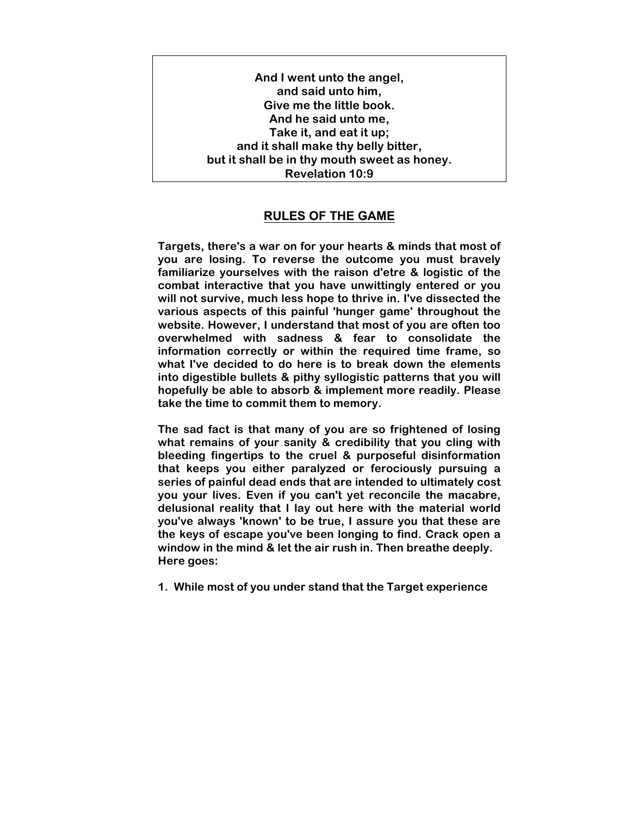**And I went unto the angel, and said unto him, Give me the little book. And he said unto me, Take it, and eat it up; and it shall make thy belly bitter, but it shall be in thy mouth sweet as honey. Revelation 10:9**

## **RULES OF THE GAME**

**Targets, there's a war on for your hearts & minds that most of you are losing. To reverse the outcome you must bravely familiarize yourselves with the raison d'etre & logistic of the combat interactive that you have unwittingly entered or you will not survive, much less hope to thrive in. I've dissected the various aspects of this painful 'hunger game' throughout the website. However, I understand that most of you are often too overwhelmed with sadness & fear to consolidate the information correctly or within the required time frame, so what I've decided to do here is to break down the elements into digestible bullets & pithy syllogistic patterns that you will hopefully be able to absorb & implement more readily. Please take the time to commit them to memory.** 

**The sad fact is that many of you are so frightened of losing what remains of your sanity & credibility that you cling with bleeding fingertips to the cruel & purposeful disinformation that keeps you either paralyzed or ferociously pursuing a series of painful dead ends that are intended to ultimately cost you your lives. Even if you can't yet reconcile the macabre, delusional reality that I lay out here with the material world you've always 'known' to be true, I assure you that these are the keys of escape you've been longing to find. Crack open a window in the mind & let the air rush in. Then breathe deeply. Here goes:** 

**1. While most of you under stand that the Target experience**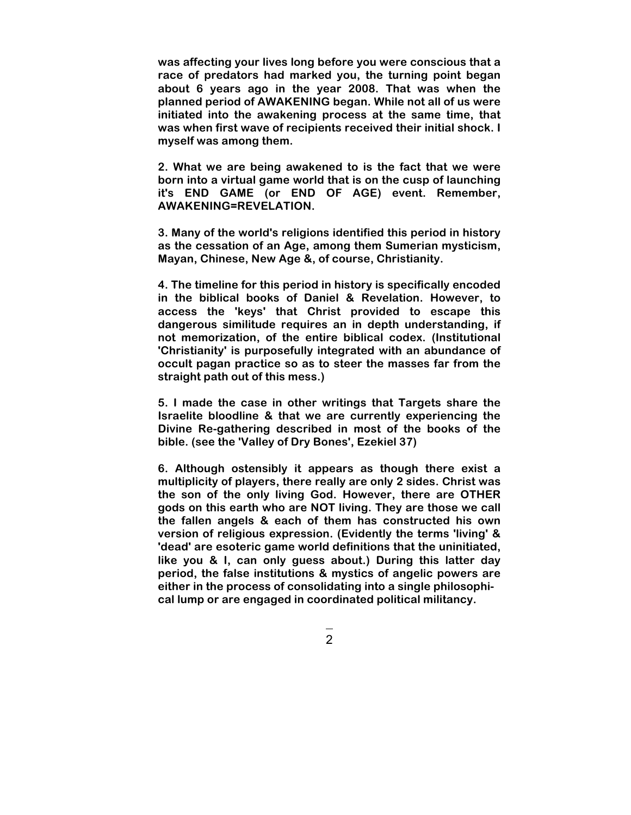**was affecting your lives long before you were conscious that a race of predators had marked you, the turning point began about 6 years ago in the year 2008. That was when the planned period of AWAKENING began. While not all of us were initiated into the awakening process at the same time, that was when first wave of recipients received their initial shock. I myself was among them.** 

**2. What we are being awakened to is the fact that we were born into a virtual game world that is on the cusp of launching it's END GAME (or END OF AGE) event. Remember, AWAKENING=REVELATION.** 

**3. Many of the world's religions identified this period in history as the cessation of an Age, among them Sumerian mysticism, Mayan, Chinese, New Age &, of course, Christianity.** 

**4. The timeline for this period in history is specifically encoded in the biblical books of Daniel & Revelation. However, to access the 'keys' that Christ provided to escape this dangerous similitude requires an in depth understanding, if not memorization, of the entire biblical codex. (Institutional 'Christianity' is purposefully integrated with an abundance of occult pagan practice so as to steer the masses far from the straight path out of this mess.)** 

**5. I made the case in other writings that Targets share the Israelite bloodline & that we are currently experiencing the Divine Re-gathering described in most of the books of the bible. (see the 'Valley of Dry Bones', Ezekiel 37)** 

**6. Although ostensibly it appears as though there exist a multiplicity of players, there really are only 2 sides. Christ was the son of the only living God. However, there are OTHER gods on this earth who are NOT living. They are those we call the fallen angels & each of them has constructed his own version of religious expression. (Evidently the terms 'living' & 'dead' are esoteric game world definitions that the uninitiated, like you & I, can only guess about.) During this latter day period, the false institutions & mystics of angelic powers are either in the process of consolidating into a single philosophical lump or are engaged in coordinated political militancy.**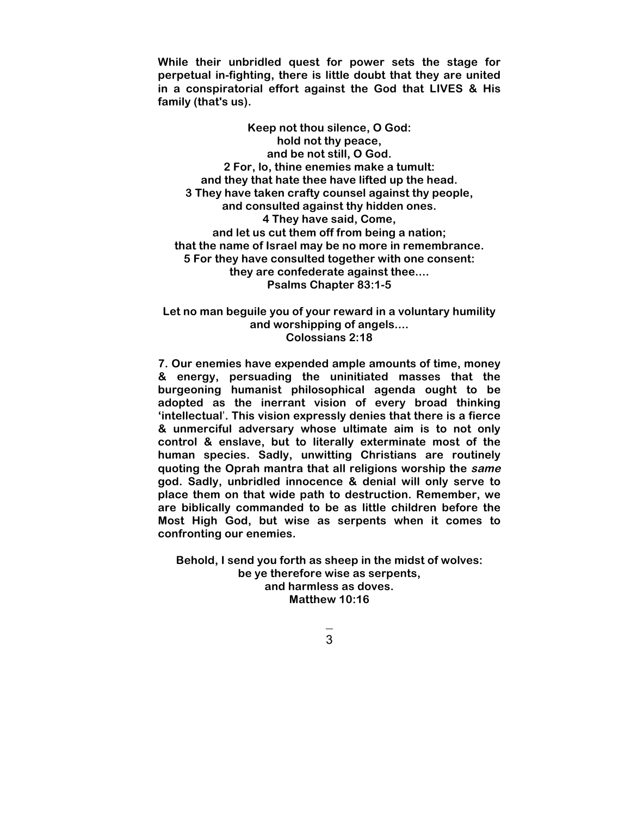**While their unbridled quest for power sets the stage for perpetual in-fighting, there is little doubt that they are united in a conspiratorial effort against the God that LIVES & His family (that's us).** 

**Keep not thou silence, O God: hold not thy peace, and be not still, O God. 2 For, lo, thine enemies make a tumult: and they that hate thee have lifted up the head. 3 They have taken crafty counsel against thy people, and consulted against thy hidden ones. 4 They have said, Come, and let us cut them off from being a nation; that the name of Israel may be no more in remembrance. 5 For they have consulted together with one consent: they are confederate against thee.... Psalms Chapter 83:1-5**

**Let no man beguile you of your reward in a voluntary humility and worshipping of angels.... Colossians 2:18**

**7. Our enemies have expended ample amounts of time, money & energy, persuading the uninitiated masses that the burgeoning humanist philosophical agenda ought to be adopted as the inerrant vision of every broad thinking 'intellectual**'**. This vision expressly denies that there is a fierce & unmerciful adversary whose ultimate aim is to not only control & enslave, but to literally exterminate most of the human species. Sadly, unwitting Christians are routinely quoting the Oprah mantra that all religions worship the same god. Sadly, unbridled innocence & denial will only serve to place them on that wide path to destruction. Remember, we are biblically commanded to be as little children before the Most High God, but wise as serpents when it comes to confronting our enemies.** 

**Behold, I send you forth as sheep in the midst of wolves: be ye therefore wise as serpents, and harmless as doves. Matthew 10:16**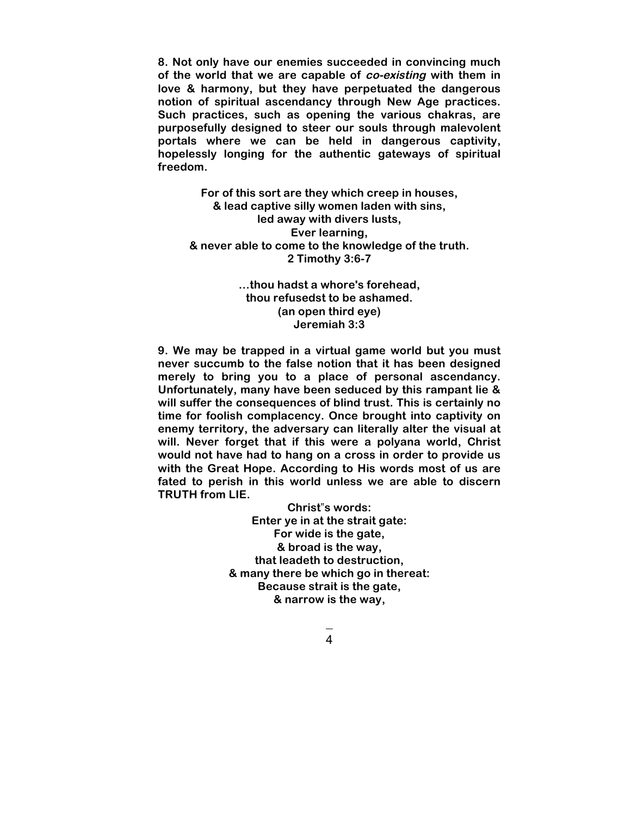**8. Not only have our enemies succeeded in convincing much of the world that we are capable of co-existing with them in love & harmony, but they have perpetuated the dangerous notion of spiritual ascendancy through New Age practices. Such practices, such as opening the various chakras, are purposefully designed to steer our souls through malevolent portals where we can be held in dangerous captivity, hopelessly longing for the authentic gateways of spiritual freedom.** 

**For of this sort are they which creep in houses, & lead captive silly women laden with sins, led away with divers lusts, Ever learning, & never able to come to the knowledge of the truth. 2 Timothy 3:6-7**

> **…thou hadst a whore's forehead, thou refusedst to be ashamed. (an open third eye) Jeremiah 3:3**

**9. We may be trapped in a virtual game world but you must never succumb to the false notion that it has been designed merely to bring you to a place of personal ascendancy. Unfortunately, many have been seduced by this rampant lie & will suffer the consequences of blind trust. This is certainly no time for foolish complacency. Once brought into captivity on enemy territory, the adversary can literally alter the visual at will. Never forget that if this were a polyana world, Christ would not have had to hang on a cross in order to provide us with the Great Hope. According to His words most of us are fated to perish in this world unless we are able to discern TRUTH from LIE.** 

> **Christ**"**s words: Enter ye in at the strait gate: For wide is the gate, & broad is the way, that leadeth to destruction, & many there be which go in thereat: Because strait is the gate, & narrow is the way,**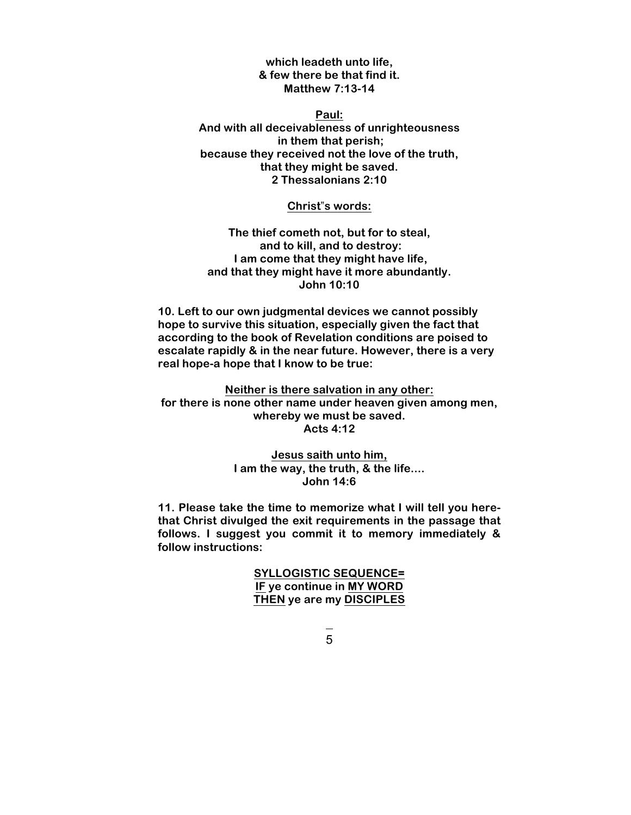**which leadeth unto life, & few there be that find it. Matthew 7:13-14**

**Paul: And with all deceivableness of unrighteousness in them that perish; because they received not the love of the truth, that they might be saved. 2 Thessalonians 2:10**

**Christ**"**s words:**

**The thief cometh not, but for to steal, and to kill, and to destroy: I am come that they might have life, and that they might have it more abundantly. John 10:10**

**10. Left to our own judgmental devices we cannot possibly hope to survive this situation, especially given the fact that according to the book of Revelation conditions are poised to escalate rapidly & in the near future. However, there is a very real hope-a hope that I know to be true:** 

**Neither is there salvation in any other: for there is none other name under heaven given among men, whereby we must be saved. Acts 4:12**

> **Jesus saith unto him, I am the way, the truth, & the life.... John 14:6**

**11. Please take the time to memorize what I will tell you herethat Christ divulged the exit requirements in the passage that follows. I suggest you commit it to memory immediately & follow instructions:** 

> **SYLLOGISTIC SEQUENCE= IF ye continue in MY WORD THEN ye are my DISCIPLES**

 $5\frac{1}{2}$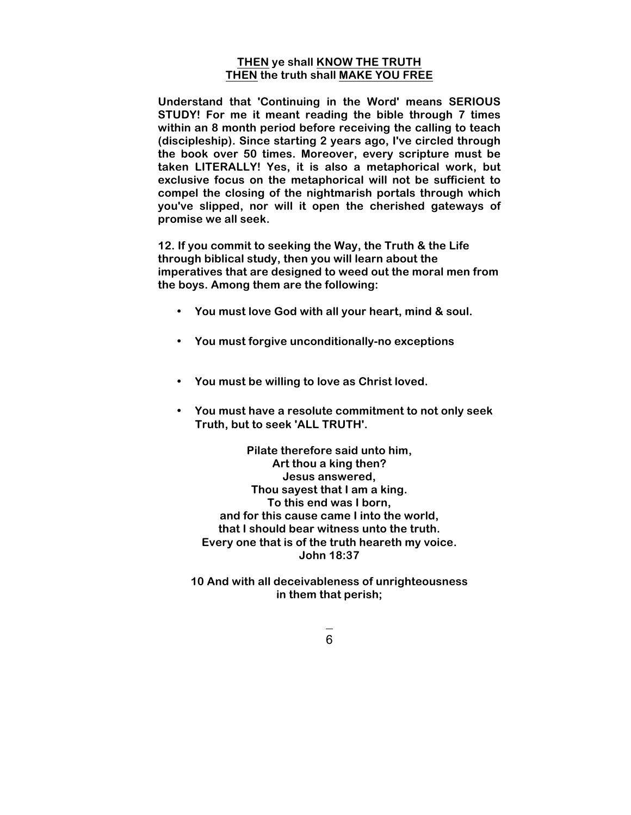## **THEN ye shall KNOW THE TRUTH THEN the truth shall MAKE YOU FREE**

**Understand that 'Continuing in the Word' means SERIOUS STUDY! For me it meant reading the bible through 7 times within an 8 month period before receiving the calling to teach (discipleship). Since starting 2 years ago, I've circled through the book over 50 times. Moreover, every scripture must be taken LITERALLY! Yes, it is also a metaphorical work, but exclusive focus on the metaphorical will not be sufficient to compel the closing of the nightmarish portals through which you've slipped, nor will it open the cherished gateways of promise we all seek.** 

**12. If you commit to seeking the Way, the Truth & the Life through biblical study, then you will learn about the imperatives that are designed to weed out the moral men from the boys. Among them are the following:**

- **You must love God with all your heart, mind & soul.**
- **You must forgive unconditionally-no exceptions**
- **You must be willing to love as Christ loved.**
- **You must have a resolute commitment to not only seek Truth, but to seek 'ALL TRUTH'.**

**Pilate therefore said unto him, Art thou a king then? Jesus answered, Thou sayest that I am a king. To this end was I born, and for this cause came I into the world, that I should bear witness unto the truth. Every one that is of the truth heareth my voice. John 18:37**

**10 And with all deceivableness of unrighteousness in them that perish;**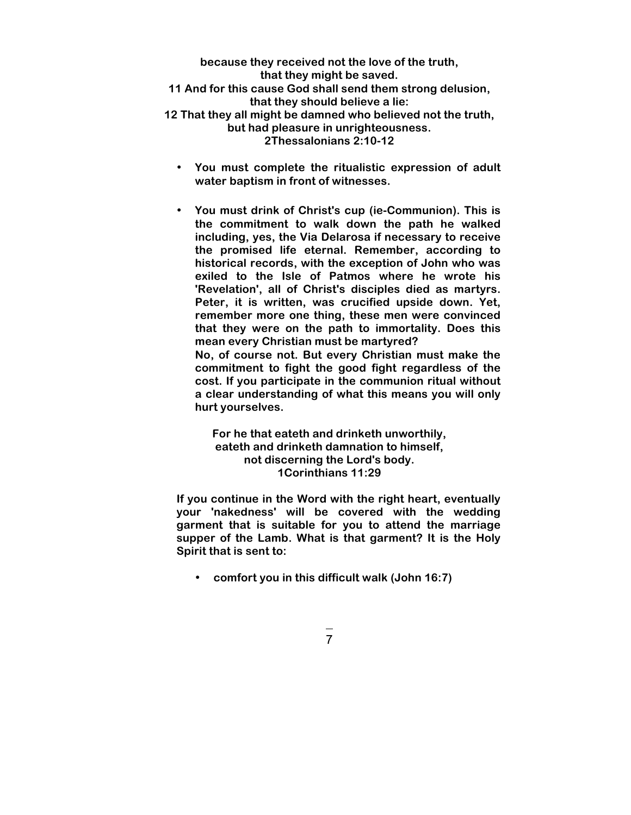**because they received not the love of the truth, that they might be saved. 11 And for this cause God shall send them strong delusion, that they should believe a lie: 12 That they all might be damned who believed not the truth, but had pleasure in unrighteousness. 2Thessalonians 2:10-12**

- **You must complete the ritualistic expression of adult water baptism in front of witnesses.**
- **You must drink of Christ's cup (ie-Communion). This is the commitment to walk down the path he walked including, yes, the Via Delarosa if necessary to receive the promised life eternal. Remember, according to historical records, with the exception of John who was exiled to the Isle of Patmos where he wrote his 'Revelation', all of Christ's disciples died as martyrs. Peter, it is written, was crucified upside down. Yet, remember more one thing, these men were convinced that they were on the path to immortality. Does this mean every Christian must be martyred? No, of course not. But every Christian must make the commitment to fight the good fight regardless of the**

**cost. If you participate in the communion ritual without a clear understanding of what this means you will only hurt yourselves.**

## **For he that eateth and drinketh unworthily, eateth and drinketh damnation to himself, not discerning the Lord's body. 1Corinthians 11:29**

**If you continue in the Word with the right heart, eventually your 'nakedness' will be covered with the wedding garment that is suitable for you to attend the marriage supper of the Lamb. What is that garment? It is the Holy Spirit that is sent to:** 

• **comfort you in this difficult walk (John 16:7)**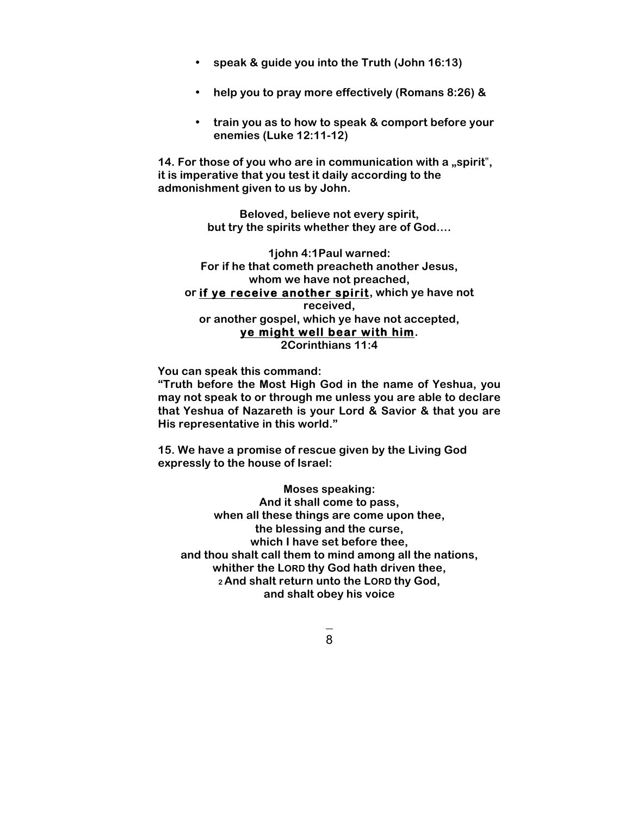- **speak & guide you into the Truth (John 16:13)**
- **help you to pray more effectively (Romans 8:26) &**
- **train you as to how to speak & comport before your enemies (Luke 12:11-12)**

14. For those of you who are in communication with a "spirit", **it is imperative that you test it daily according to the admonishment given to us by John.** 

> **Beloved, believe not every spirit, but try the spirits whether they are of God….**

**1john 4:1Paul warned: For if he that cometh preacheth another Jesus, whom we have not preached, or if ye receive another spirit, which ye have not received, or another gospel, which ye have not accepted, ye might well bear with him. 2Corinthians 11:4**

**You can speak this command:** 

**"Truth before the Most High God in the name of Yeshua, you may not speak to or through me unless you are able to declare that Yeshua of Nazareth is your Lord & Savior & that you are His representative in this world."**

**15. We have a promise of rescue given by the Living God expressly to the house of Israel:** 

**Moses speaking: And it shall come to pass, when all these things are come upon thee, the blessing and the curse, which I have set before thee, and thou shalt call them to mind among all the nations, whither the LORD thy God hath driven thee, 2 And shalt return unto the LORD thy God, and shalt obey his voice**

8 and 2010 and 2010 and 38